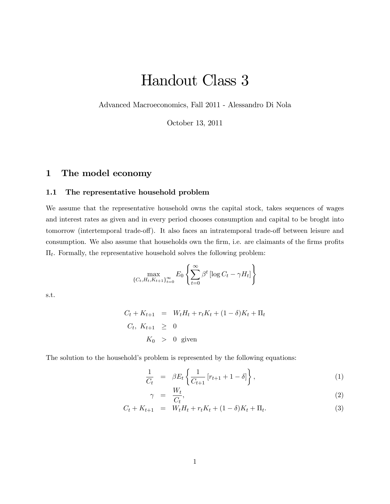# Handout Class 3

Advanced Macroeconomics, Fall 2011 - Alessandro Di Nola

October 13, 2011

# 1 The model economy

## 1.1 The representative household problem

We assume that the representative household owns the capital stock, takes sequences of wages and interest rates as given and in every period chooses consumption and capital to be broght into tomorrow (intertemporal trade-off). It also faces an intratemporal trade-off between leisure and consumption. We also assume that households own the firm, i.e. are claimants of the firms profits  $\Pi_t$ . Formally, the representative household solves the following problem:

$$
\max_{\{C_t, H_t, K_{t+1}\}_{t=0}^{\infty}} E_0 \left\{ \sum_{t=0}^{\infty} \beta^t \left[ \log C_t - \gamma H_t \right] \right\}
$$

s.t.

$$
C_t + K_{t+1} = W_t H_t + r_t K_t + (1 - \delta) K_t + \Pi_t
$$
  
\n
$$
C_t, K_{t+1} \geq 0
$$
  
\n
$$
K_0 > 0 \text{ given}
$$

The solution to the household's problem is represented by the following equations:

$$
\frac{1}{C_t} = \beta E_t \left\{ \frac{1}{C_{t+1}} [r_{t+1} + 1 - \delta] \right\},\tag{1}
$$

$$
\gamma = \frac{W_t}{C_t},\tag{2}
$$

$$
C_t + K_{t+1} = W_t H_t + r_t K_t + (1 - \delta) K_t + \Pi_t.
$$
\n(3)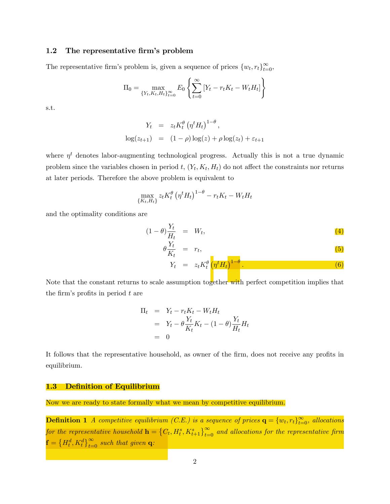#### 1.2 The representative firm's problem

The representative firm's problem is, given a sequence of prices  $\{w_t, r_t\}_{t=0}^{\infty}$ ,

$$
\Pi_0 = \max_{\{Y_t, K_t, H_t\}_{t=0}^{\infty}} E_0 \left\{ \sum_{t=0}^{\infty} \left[ Y_t - r_t K_t - W_t H_t \right] \right\}
$$

s.t.

$$
Y_t = z_t K_t^{\theta} (\eta^t H_t)^{1-\theta},
$$
  

$$
\log(z_{t+1}) = (1-\rho) \log(z) + \rho \log(z_t) + \varepsilon_{t+1}
$$

where  $\eta^t$  denotes labor-augmenting technological progress. Actually this is not a true dynamic problem since the variables chosen in period t,  $(Y_t, K_t, H_t)$  do not affect the constraints nor returns at later periods. Therefore the above problem is equivalent to

$$
\max_{\{K_t, H_t\}} z_t K_t^{\theta} \left( \eta^t H_t \right)^{1-\theta} - r_t K_t - W_t H_t
$$

and the optimality conditions are

$$
(1 - \theta) \frac{Y_t}{H_t} = W_t, \tag{4}
$$

$$
\theta \frac{Y_t}{K_t} = r_t, \tag{5}
$$
\n
$$
Y_t = z_t K_t^{\theta} \left( \eta^t H_t \right)^{1-\theta}.
$$
\n
$$
\tag{6}
$$

Note that the constant returns to scale assumption together with perfect competition implies that the firm's profits in period  $t$  are

$$
\Pi_t = Y_t - r_t K_t - W_t H_t
$$
  
=  $Y_t - \theta \frac{Y_t}{K_t} K_t - (1 - \theta) \frac{Y_t}{H_t} H_t$   
= 0

It follows that the representative household, as owner of the firm, does not receive any profits in equilibrium.

#### 1.3 Definition of Equilibrium

Now we are ready to state formally what we mean by competitive equilibrium.

**Definition 1** A competitive equilibrium (C.E.) is a sequence of prices  $\mathbf{q} = \{w_t, r_t\}_{t=0}^{\infty}$ , allocations for the representative household  $\mathbf{h} = \left\{C_t, H_t^s, K_{t+1}^s\right\}_{t=0}^\infty$  and allocations for the representative firm  $\mathbf{f} = \left\{H_t^d, K_t^d\right\}_{t=0}^{\infty}$  such that given **q**: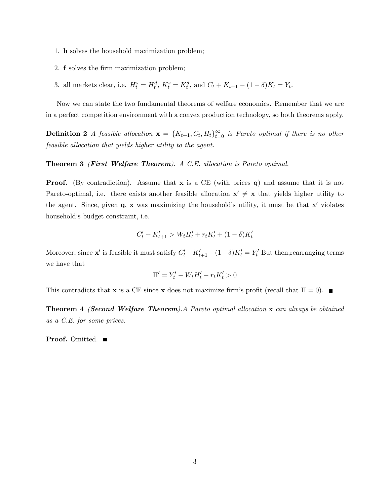- 1. h solves the household maximization problem;
- 2. **f** solves the firm maximization problem;
- 3. all markets clear, i.e.  $H_t^s = H_t^d$ ,  $K_t^s = K_t^d$ , and  $C_t + K_{t+1} (1 \delta)K_t = Y_t$ .

Now we can state the two fundamental theorems of welfare economics. Remember that we are in a perfect competition environment with a convex production technology, so both theorems apply.

**Definition 2** A feasible allocation  $\mathbf{x} = \{K_{t+1}, C_t, H_t\}_{t=0}^{\infty}$  is Pareto optimal if there is no other feasible allocation that yields higher utility to the agent.

#### Theorem 3 (First Welfare Theorem). A C.E. allocation is Pareto optimal.

**Proof.** (By contradiction). Assume that  $\bf{x}$  is a CE (with prices q) and assume that it is not Pareto-optimal, i.e. there exists another feasible allocation  $x' \neq x$  that yields higher utility to the agent. Since, given  $q$ , x was maximizing the household's utility, it must be that  $x'$  violates household's budget constraint, i.e.

$$
C'_{t} + K'_{t+1} > W_{t}H'_{t} + r_{t}K'_{t} + (1 - \delta)K'_{t}
$$

Moreover, since  $\mathbf{x}'$  is feasible it must satisfy  $C'_t + K'_{t+1} - (1 - \delta)K'_t = Y'_t$  But then, rearranging terms we have that

$$
\Pi' = Y'_t - W_t H'_t - r_t K'_t > 0
$$

This contradicts that **x** is a CE since **x** does not maximize firm's profit (recall that  $\Pi = 0$ ).

Theorem 4 (Second Welfare Theorem).A Pareto optimal allocation x can always be obtained as a C.E. for some prices.

Proof. Omitted. ■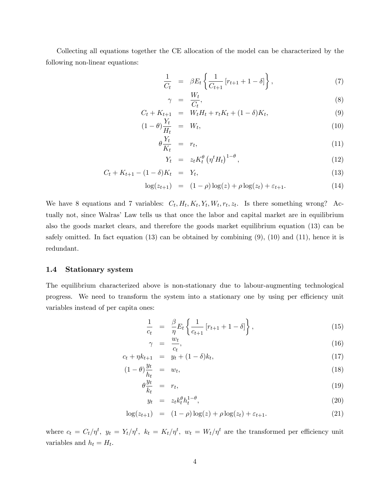Collecting all equations together the CE allocation of the model can be characterized by the following non-linear equations:

$$
\frac{1}{C_t} = \beta E_t \left\{ \frac{1}{C_{t+1}} \left[ r_{t+1} + 1 - \delta \right] \right\},\tag{7}
$$

$$
\gamma = \frac{W_t}{C_t},\tag{8}
$$

$$
C_t + K_{t+1} = W_t H_t + r_t K_t + (1 - \delta) K_t,
$$
\n(9)

$$
(1 - \theta) \frac{Y_t}{H_t} = W_t, \tag{10}
$$

$$
\theta \frac{Y_t}{K_t} = r_t, \tag{11}
$$

$$
Y_t = z_t K_t^{\theta} \left( \eta^t H_t \right)^{1-\theta}, \tag{12}
$$

$$
C_t + K_{t+1} - (1 - \delta)K_t = Y_t, \tag{13}
$$

$$
\log(z_{t+1}) = (1 - \rho) \log(z) + \rho \log(z_t) + \varepsilon_{t+1}.
$$
 (14)

We have 8 equations and 7 variables:  $C_t$ ,  $H_t$ ,  $K_t$ ,  $Y_t$ ,  $W_t$ ,  $r_t$ ,  $z_t$ . Is there something wrong? Actually not, since Walras' Law tells us that once the labor and capital market are in equilibrium also the goods market clears, and therefore the goods market equilibrium equation (13) can be safely omitted. In fact equation  $(13)$  can be obtained by combining  $(9)$ ,  $(10)$  and  $(11)$ , hence it is redundant.

#### 1.4 Stationary system

The equilibrium characterized above is non-stationary due to labour-augmenting technological progress. We need to transform the system into a stationary one by using per efficiency unit variables instead of per capita ones:

$$
\frac{1}{c_t} = \frac{\beta}{\eta} E_t \left\{ \frac{1}{c_{t+1}} [r_{t+1} + 1 - \delta] \right\},\tag{15}
$$

$$
\gamma = \frac{w_t}{c_t},\tag{16}
$$

$$
c_t + \eta k_{t+1} = y_t + (1 - \delta) k_t, \tag{17}
$$

$$
(1 - \theta) \frac{y_t}{h_t} = w_t, \tag{18}
$$

$$
\theta \frac{y_t}{k_t} = r_t, \tag{19}
$$

$$
y_t = z_t k_t^{\theta} h_t^{1-\theta}, \tag{20}
$$

$$
\log(z_{t+1}) = (1 - \rho) \log(z) + \rho \log(z_t) + \varepsilon_{t+1}.
$$
 (21)

where  $c_t = C_t/\eta^t$ ,  $y_t = Y_t/\eta^t$ ,  $k_t = K_t/\eta^t$ ,  $w_t = W_t/\eta^t$  are the transformed per efficiency unit variables and  $h_t = H_t$ .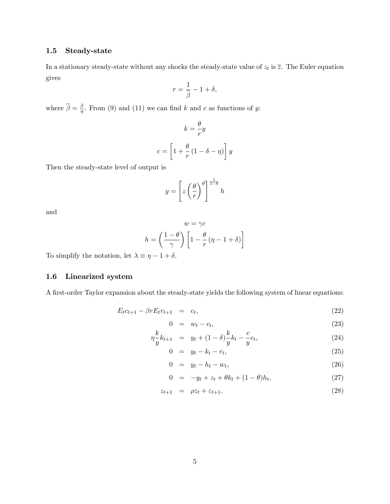## 1.5 Steady-state

In a stationary steady-state without any shocks the steady-state value of  $z_t$  is  $\overline{z}$ . The Euler equation gives

$$
r = \frac{1}{\tilde{\beta}} - 1 + \delta,
$$

where  $\tilde{\beta} = \frac{\beta}{\eta}$ . From (9) and (11) we can find k and c as functions of y:

$$
k = -\frac{\theta}{r}y
$$

$$
c = \left[1 + \frac{\theta}{r}(1 - \delta - \eta)\right]y
$$

Then the steady-state level of output is

$$
y = \left[ z \left( \frac{\theta}{r} \right)^{\theta} \right]^{\frac{1}{1-\theta}} h
$$

and

$$
w = \gamma c
$$

$$
h = \left(\frac{1-\theta}{\gamma}\right) \left[1 - \frac{\theta}{r} \left(\eta - 1 + \delta\right)\right]
$$

To simplify the notation, let  $\lambda \equiv \eta - 1 + \delta.$ 

# 1.6 Linearized system

A first-order Taylor expansion about the steady-state yields the following system of linear equations:

$$
E_t c_{t+1} - \beta r E_t r_{t+1} = c_t, \qquad (22)
$$

$$
0 = w_t - c_t, \tag{23}
$$

$$
\eta \frac{k}{y} k_{t+1} = y_t + (1 - \delta) \frac{k}{y} k_t - \frac{c}{y} c_t, \tag{24}
$$

$$
0 = y_t - k_t - r_t, \tag{25}
$$

$$
0 = y_t - h_t - w_t, \tag{26}
$$

$$
0 = -y_t + z_t + \theta k_t + (1 - \theta) h_t, \tag{27}
$$

$$
z_{t+1} = \rho z_t + \varepsilon_{t+1}.\tag{28}
$$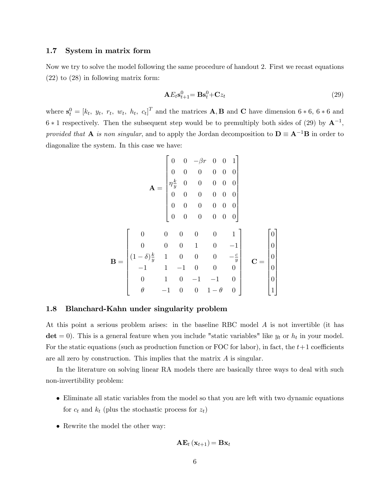#### 1.7 System in matrix form

Now we try to solve the model following the same procedure of handout 2. First we recast equations (22) to (28) in following matrix form:

$$
\mathbf{A}E_t \mathbf{s}_{t+1}^0 = \mathbf{B}\mathbf{s}_t^0 + \mathbf{C}z_t \tag{29}
$$

where  $\mathbf{s}_t^0 = [k_t, y_t, r_t, w_t, h_t, c_t]^T$  and the matrices **A**, **B** and **C** have dimension 6  $*$  6, 6  $*$  6 and  $6 * 1$  respectively. Then the subsequent step would be to premultiply both sides of (29) by  $A^{-1}$ , provided that **A** is non singular, and to apply the Jordan decomposition to  $D = A^{-1}B$  in order to diagonalize the system. In this case we have:

$$
\mathbf{A} = \begin{bmatrix} 0 & 0 & -\beta r & 0 & 0 & 1 \\ 0 & 0 & 0 & 0 & 0 & 0 \\ \eta \frac{k}{y} & 0 & 0 & 0 & 0 & 0 \\ 0 & 0 & 0 & 0 & 0 & 0 \\ 0 & 0 & 0 & 0 & 0 & 0 \\ 0 & 0 & 0 & 0 & 0 & 0 \end{bmatrix}
$$

$$
\mathbf{B} = \begin{bmatrix} 0 & 0 & 0 & 0 & 0 & 1 \\ 0 & 0 & 0 & 0 & 0 & 0 \\ (1-\delta)\frac{k}{y} & 1 & 0 & 0 & 0 & -\frac{c}{y} \\ -1 & 1 & -1 & 0 & 0 & 0 \\ 0 & 1 & 0 & -1 & -1 & 0 \\ \theta & -1 & 0 & 0 & 1-\theta & 0 \end{bmatrix} \quad \mathbf{C} = \begin{bmatrix} 0 \\ 0 \\ 0 \\ 0 \\ 0 \\ 1 \end{bmatrix}
$$

#### 1.8 Blanchard-Kahn under singularity problem

At this point a serious problem arises: in the baseline RBC model A is not invertible (it has  $det = 0$ . This is a general feature when you include "static variables" like  $y_t$  or  $h_t$  in your model. For the static equations (such as production function or FOC for labor), in fact, the  $t+1$  coefficients are all zero by construction. This implies that the matrix A is singular.

In the literature on solving linear RA models there are basically three ways to deal with such non-invertibility problem:

- Eliminate all static variables from the model so that you are left with two dynamic equations for  $c_t$  and  $k_t$  (plus the stochastic process for  $z_t$ )
- Rewrite the model the other way:

$$
\mathbf{AE}_{t}\left(\mathbf{x}_{t+1}\right)\mathbf{=Bx}_{t}
$$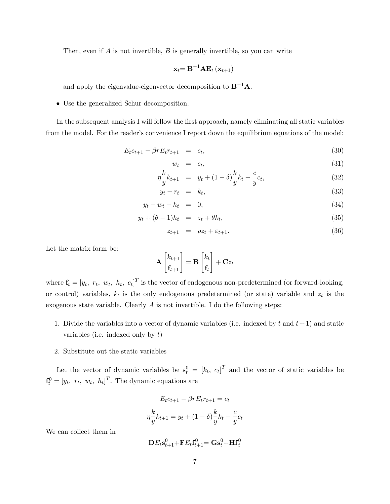Then, even if  $A$  is not invertible,  $B$  is generally invertible, so you can write

$$
\mathbf{x}_{t}{=}\,\mathbf{B}^{-1}\mathbf{A}\mathbf{E}_{t}\left(\mathbf{x}_{t+1}\right)
$$

and apply the eigenvalue-eigenvector decomposition to  $B^{-1}A$ .

Use the generalized Schur decomposition.

In the subsequent analysis I will follow the first approach, namely eliminating all static variables from the model. For the reader's convenience I report down the equilibrium equations of the model:

$$
E_t c_{t+1} - \beta r E_t r_{t+1} = c_t, \tag{30}
$$

$$
w_t = c_t, \tag{31}
$$

$$
\eta \frac{k}{y} k_{t+1} = y_t + (1 - \delta) \frac{k}{y} k_t - \frac{c}{y} c_t, \tag{32}
$$

$$
y_t - r_t = k_t, \tag{33}
$$

$$
y_t - w_t - h_t = 0,\t\t(34)
$$

$$
y_t + (\theta - 1)h_t = z_t + \theta k_t, \tag{35}
$$

$$
z_{t+1} = \rho z_t + \varepsilon_{t+1}.\tag{36}
$$

Let the matrix form be:

$$
\mathbf{A}\begin{bmatrix}k_{t+1} \\ \mathbf{f}_{t+1}\end{bmatrix} = \mathbf{B}\begin{bmatrix}k_t \\ \mathbf{f}_t\end{bmatrix} + \mathbf{C}z_t
$$

where  $\mathbf{f}_t = [y_t, r_t, w_t, h_t, c_t]^T$  is the vector of endogenous non-predetermined (or forward-looking, or control) variables,  $k_t$  is the only endogenous predetermined (or state) variable and  $z_t$  is the exogenous state variable. Clearly  $A$  is not invertible. I do the following steps:

- 1. Divide the variables into a vector of dynamic variables (i.e. indexed by t and  $t+1$ ) and static variables (i.e. indexed only by  $t$ )
- 2. Substitute out the static variables

Let the vector of dynamic variables be  $s_t^0 = [k_t, c_t]^T$  and the vector of static variables be  $\mathbf{f}_t^0 = [y_t, r_t, w_t, h_t]^T$ . The dynamic equations are

$$
E_t c_{t+1} - \beta r E_t r_{t+1} = c_t
$$

$$
\eta \frac{k}{y} k_{t+1} = y_t + (1 - \delta) \frac{k}{y} k_t - \frac{c}{y} c_t
$$

We can collect them in

$$
\mathbf{D} E_t \mathbf{s}_{t+1}^0\text{+}\mathbf{F} E_t \mathbf{f}_{t+1}^0\text{=}\mathbf{G} \mathbf{s}_t^0\text{+}\mathbf{H} \mathbf{f}_t^0
$$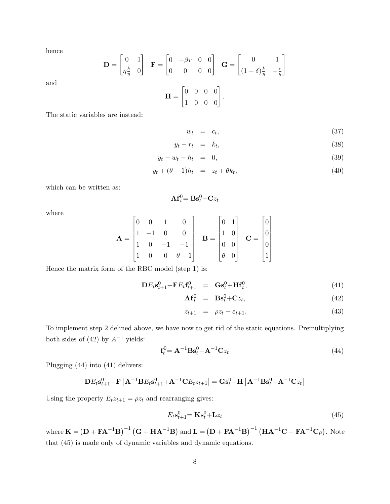hence

and

$$
\mathbf{D} = \begin{bmatrix} 0 & 1 \\ \eta \frac{k}{y} & 0 \end{bmatrix} \quad \mathbf{F} = \begin{bmatrix} 0 & -\beta r & 0 & 0 \\ 0 & 0 & 0 & 0 \end{bmatrix} \quad \mathbf{G} = \begin{bmatrix} 0 & 1 \\ (1 - \delta) \frac{k}{y} & -\frac{c}{y} \end{bmatrix}
$$

$$
\mathbf{H} = \begin{bmatrix} 0 & 0 & 0 & 0 \\ 1 & 0 & 0 & 0 \end{bmatrix}.
$$

The static variables are instead:

$$
w_t = c_t, \t\t(37)
$$

$$
y_t - r_t = k_t, \tag{38}
$$

$$
y_t - w_t - h_t = 0,\t\t(39)
$$

$$
y_t + (\theta - 1)h_t = z_t + \theta k_t, \tag{40}
$$

which can be written as:

$$
\mathbf{A}\mathbf{f}_t^0\mathbf{=}\mathbf{B}\mathbf{s}_t^0\mathbf{+}\mathbf{C}z_t
$$

where

$$
\mathbf{A} = \begin{bmatrix} 0 & 0 & 1 & 0 \\ 1 & -1 & 0 & 0 \\ 1 & 0 & -1 & -1 \\ 1 & 0 & 0 & \theta - 1 \end{bmatrix} \quad \mathbf{B} = \begin{bmatrix} 0 & 1 \\ 1 & 0 \\ 0 & 0 \\ \theta & 0 \end{bmatrix} \quad \mathbf{C} = \begin{bmatrix} 0 \\ 0 \\ 0 \\ 1 \end{bmatrix}
$$

Hence the matrix form of the RBC model (step 1) is:

$$
\mathbf{D}E_t \mathbf{s}_{t+1}^0 + \mathbf{F}E_t \mathbf{f}_{t+1}^0 = \mathbf{G} \mathbf{s}_t^0 + \mathbf{H} \mathbf{f}_t^0, \tag{41}
$$

$$
\mathbf{A} \mathbf{f}_t^0 = \mathbf{B} \mathbf{s}_t^0 + \mathbf{C} z_t, \tag{42}
$$

$$
z_{t+1} = \rho z_t + \varepsilon_{t+1}.\tag{43}
$$

To implement step 2 delined above, we have now to get rid of the static equations. Premultiplying both sides of (42) by  $A^{-1}$  yields:

$$
\mathbf{f}_t^0 = \mathbf{A}^{-1} \mathbf{B} \mathbf{s}_t^0 + \mathbf{A}^{-1} \mathbf{C} z_t \tag{44}
$$

Plugging (44) into (41) delivers:

$$
\mathbf{D}E_t\mathbf{s}_{t+1}^0+\mathbf{F}\left[\mathbf{A}^{-1}\mathbf{B}E_t\mathbf{s}_{t+1}^0+\mathbf{A}^{-1}\mathbf{C}E_tz_{t+1}\right]=\mathbf{G}\mathbf{s}_t^0+\mathbf{H}\left[\mathbf{A}^{-1}\mathbf{B}\mathbf{s}_t^0+\mathbf{A}^{-1}\mathbf{C}z_t\right]
$$

Using the property  $E_t z_{t+1} = \rho z_t$  and rearranging gives:

$$
E_t \mathbf{s}_{t+1}^0 = \mathbf{K} \mathbf{s}_t^0 + \mathbf{L} z_t \tag{45}
$$

where  $\mathbf{K} = (\mathbf{D} + \mathbf{F} \mathbf{A}^{-1} \mathbf{B})^{-1} (\mathbf{G} + \mathbf{H} \mathbf{A}^{-1} \mathbf{B})$  and  $\mathbf{L} = (\mathbf{D} + \mathbf{F} \mathbf{A}^{-1} \mathbf{B})^{-1} (\mathbf{H} \mathbf{A}^{-1} \mathbf{C} - \mathbf{F} \mathbf{A}^{-1} \mathbf{C} \rho).$  Note that (45) is made only of dynamic variables and dynamic equations.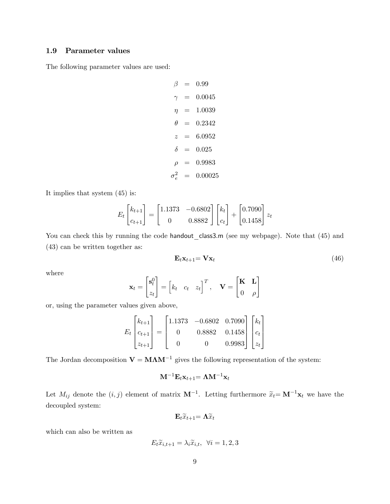### 1.9 Parameter values

The following parameter values are used:

 $\beta = 0.99$  $\gamma = 0.0045$  $\eta = 1.0039$  $\theta = 0.2342$  $z = 6.0952$  $\delta = 0.025$  $\rho = 0.9983$  $\sigma_e^2$  = 0.00025

It implies that system (45) is:

$$
E_t \begin{bmatrix} k_{t+1} \\ c_{t+1} \end{bmatrix} = \begin{bmatrix} 1.1373 & -0.6802 \\ 0 & 0.8882 \end{bmatrix} \begin{bmatrix} k_t \\ c_t \end{bmatrix} + \begin{bmatrix} 0.7090 \\ 0.1458 \end{bmatrix} z_t
$$

You can check this by running the code handout\_class3.m (see my webpage). Note that (45) and (43) can be written together as:

$$
\mathbf{E}_t \mathbf{x}_{t+1} = \mathbf{V} \mathbf{x}_t \tag{46}
$$

where

$$
\mathbf{x}_t = \begin{bmatrix} \mathbf{s}_t^0 \\ z_t \end{bmatrix} = \begin{bmatrix} k_t & c_t & z_t \end{bmatrix}^T, \quad \mathbf{V} = \begin{bmatrix} \mathbf{K} & \mathbf{L} \\ 0 & \rho \end{bmatrix}
$$

or, using the parameter values given above,

$$
E_t \begin{bmatrix} k_{t+1} \\ c_{t+1} \\ z_{t+1} \end{bmatrix} = \begin{bmatrix} 1.1373 & -0.6802 & 0.7090 \\ 0 & 0.8882 & 0.1458 \\ 0 & 0 & 0.9983 \end{bmatrix} \begin{bmatrix} k_t \\ c_t \\ z_t \end{bmatrix}
$$

The Jordan decomposition  $V = M\Lambda M^{-1}$  gives the following representation of the system:

$$
\mathbf{M}^{-1}\mathbf{E}_t\mathbf{x}_{t+1} = \mathbf{\Lambda}\mathbf{M}^{-1}\mathbf{x}_t
$$

Let  $M_{ij}$  denote the  $(i, j)$  element of matrix  $\mathbf{M}^{-1}$ . Letting furthermore  $\widetilde{x}_t = \mathbf{M}^{-1}\mathbf{x}_t$  we have the decoupled system:

$$
\mathbf{E}_t \widetilde{x}_{t+1} = \mathbf{\Lambda} \widetilde{x}_t
$$

which can also be written as

$$
E_t \widetilde{x}_{i,t+1} = \lambda_i \widetilde{x}_{i,t}, \ \forall i = 1,2,3
$$